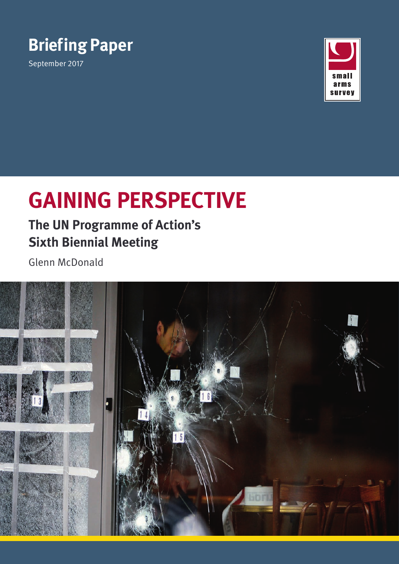

September 2017



# **GAINING PERSPECTIVE**

### **The UN Programme of Action's Sixth Biennial Meeting**

Glenn McDonald

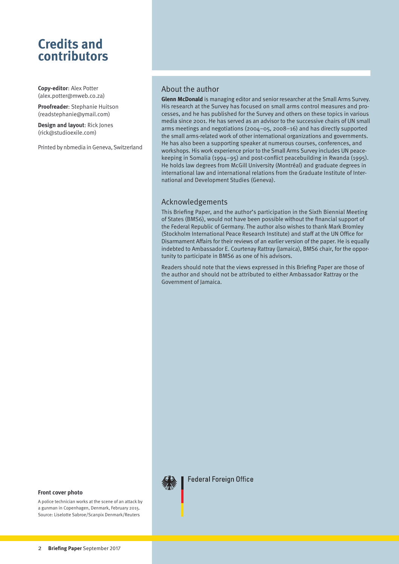### **Credits and contributors**

**Copy-editor**: Alex Potter ([alex.potter@mweb.co.za\)](mailto:alex.potter%40mweb.co.za?subject=)

**Proofreader**: Stephanie Huitson ([readstephanie@ymail.com](mailto:readstephanie%40ymail.com?subject=))

**Design and layout**: Rick Jones ([rick@studioexile.com](mailto:rick%40studioexile.com?subject=Enquiry))

Printed by nbmedia in Geneva, Switzerland

#### About the author

**Glenn McDonald** is managing editor and senior researcher at the Small Arms Survey. His research at the Survey has focused on small arms control measures and processes, and he has published for the Survey and others on these topics in various media since 2001. He has served as an advisor to the successive chairs of UN small arms meetings and negotiations (2004–05, 2008–16) and has directly supported the small arms-related work of other international organizations and governments. He has also been a supporting speaker at numerous courses, conferences, and workshops. His work experience prior to the Small Arms Survey includes UN peacekeeping in Somalia (1994–95) and post-conflict peacebuilding in Rwanda (1995). He holds law degrees from McGill University (Montréal) and graduate degrees in international law and international relations from the Graduate Institute of International and Development Studies (Geneva).

#### Acknowledgements

This Briefing Paper, and the author's participation in the Sixth Biennial Meeting of States (BMS6), would not have been possible without the financial support of the Federal Republic of Germany. The author also wishes to thank Mark Bromley (Stockholm International Peace Research Institute) and staff at the UN Office for Disarmament Affairs for their reviews of an earlier version of the paper. He is equally indebted to Ambassador E. Courtenay Rattray (Jamaica), BMS6 chair, for the opportunity to participate in BMS6 as one of his advisors.

Readers should note that the views expressed in this Briefing Paper are those of the author and should not be attributed to either Ambassador Rattray or the Government of Jamaica.



A police technician works at the scene of an attack by a gunman in Copenhagen, Denmark, February 2015. Source: Liselotte Sabroe/Scanpix Denmark/Reuters



**Federal Foreign Office**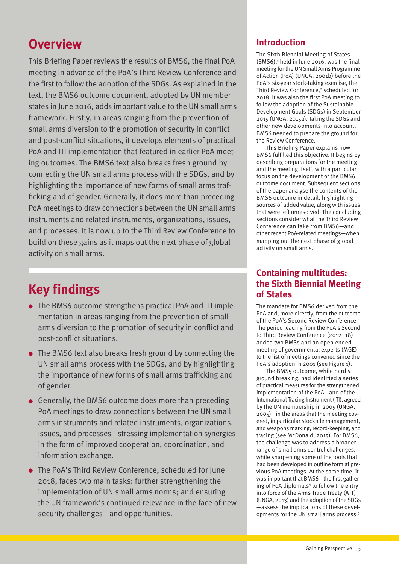### **Overview**

This Briefing Paper reviews the results of BMS6, the final PoA meeting in advance of the PoA's Third Review Conference and the first to follow the adoption of the SDGs. As explained in the text, the BMS6 outcome document, adopted by UN member states in June 2016, adds important value to the UN small arms framework. Firstly, in areas ranging from the prevention of small arms diversion to the promotion of security in conflict and post-conflict situations, it develops elements of practical PoA and ITI implementation that featured in earlier PoA meeting outcomes. The BMS6 text also breaks fresh ground by connecting the UN small arms process with the SDGs, and by highlighting the importance of new forms of small arms trafficking and of gender. Generally, it does more than preceding PoA meetings to draw connections between the UN small arms instruments and related instruments, organizations, issues, and processes. It is now up to the Third Review Conference to build on these gains as it maps out the next phase of global activity on small arms.

## **Key findings**

- The BMS6 outcome strengthens practical PoA and ITI implementation in areas ranging from the prevention of small arms diversion to the promotion of security in conflict and post-conflict situations.
- The BMS6 text also breaks fresh ground by connecting the UN small arms process with the SDGs, and by highlighting the importance of new forms of small arms trafficking and of gender.
- Generally, the BMS6 outcome does more than preceding PoA meetings to draw connections between the UN small arms instruments and related instruments, organizations, issues, and processes—stressing implementation synergies in the form of improved cooperation, coordination, and information exchange.
- The PoA's Third Review Conference, scheduled for June 2018, faces two main tasks: further strengthening the implementation of UN small arms norms; and ensuring the UN framework's continued relevance in the face of new security challenges—and opportunities.

#### **Introduction**

The Sixth Biennial Meeting of States  $(BMS6)$ ,<sup>1</sup> held in June 2016, was the final meeting for the UN Small Arms Programme of Action (PoA) (UNGA, 2001b) before the PoA's six-year stock-taking exercise, the Third Review Conference,<sup>2</sup> scheduled for 2018. It was also the first PoA meeting to follow the adoption of the Sustainable Development Goals (SDGs) in September 2015 (UNGA, 2015a). Taking the SDGs and other new developments into account, BMS6 needed to prepare the ground for the Review Conference.

This Briefing Paper explains how BMS6 fulfilled this objective. It begins by describing preparations for the meeting and the meeting itself, with a particular focus on the development of the BMS6 outcome document. Subsequent sections of the paper analyse the contents of the BMS6 outcome in detail, highlighting sources of added value, along with issues that were left unresolved. The concluding sections consider what the Third Review Conference can take from BMS6—and other recent PoA-related meetings—when mapping out the next phase of global activity on small arms.

#### **Containing multitudes: the Sixth Biennial Meeting of States**

The mandate for BMS6 derived from the PoA and, more directly, from the outcome of the PoA's Second Review Conference.3 The period leading from the PoA's Second to Third Review Conference (2012–18) added two BMSs and an open-ended meeting of governmental experts (MGE) to the list of meetings convened since the PoA's adoption in 2001 (see Figure 1).

The BMS5 outcome, while hardly ground breaking, had identified a series of practical measures for the strengthened implementation of the PoA—and of the International Tracing Instrument (ITI), agreed by the UN membership in 2005 (UNGA, 2005)—in the areas that the meeting covered, in particular stockpile management, and weapons marking, record-keeping, and tracing (see McDonald, 2015). For BMS6, the challenge was to address a broader range of small arms control challenges, while sharpening some of the tools that had been developed in outline form at previous PoA meetings. At the same time, it was important that BMS6—the first gathering of PoA diplomats<sup>4</sup> to follow the entry into force of the Arms Trade Treaty (ATT) (UNGA, 2013) and the adoption of the SDGs —assess the implications of these developments for the UN small arms process.5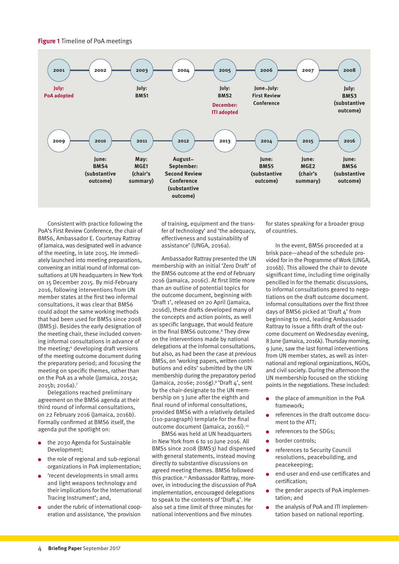#### **Figure 1** Timeline of PoA meetings



Consistent with practice following the PoA's First Review Conference, the chair of BMS6, Ambassador E. Courtenay Rattray of Jamaica, was designated well in advance of the meeting, in late 2015. He immediately launched into meeting preparations, convening an initial round of informal consultations at UN headquarters in New York on 15 December 2015. By mid-February 2016, following interventions from UN member states at the first two informal consultations, it was clear that BMS6 could adopt the same working methods that had been used for BMSs since 2008 (BMS3). Besides the early designation of the meeting chair, these included convening informal consultations in advance of the meeting;<sup>6</sup> developing draft versions of the meeting outcome document during the preparatory period; and focusing the meeting on specific themes, rather than on the PoA as a whole (Jamaica, 2015a; 2015b; 2016a).7

Delegations reached preliminary agreement on the BMS6 agenda at their third round of informal consultations, on 22 February 2016 (Jamaica, 2016b). Formally confirmed at BMS6 itself, the agenda put the spotlight on:

- the 2030 Agenda for Sustainable Development;
- the role of regional and sub-regional organizations in PoA implementation;
- 'recent developments in small arms and light weapons technology and their implications for the International Tracing Instrument'; and,
- under the rubric of international cooperation and assistance, 'the provision

of training, equipment and the transfer of technology' and 'the adequacy, effectiveness and sustainability of assistance' (UNGA, 2016a).

Ambassador Rattray presented the UN membership with an initial 'Zero Draft' of the BMS6 outcome at the end of February 2016 (Jamaica, 2016c). At first little more than an outline of potential topics for the outcome document, beginning with 'Draft 1', released on 20 April (Jamaica, 2016d), these drafts developed many of the concepts and action points, as well as specific language, that would feature in the final BMS6 outcome.<sup>8</sup> They drew on the interventions made by national delegations at the informal consultations, but also, as had been the case at previous BMSs, on 'working papers, written contributions and edits' submitted by the UN membership during the preparatory period (Jamaica, 2016e; 2016g).<sup>9</sup> 'Draft 4', sent by the chair-designate to the UN membership on 3 June after the eighth and final round of informal consultations, provided BMS6 with a relatively detailed (110-paragraph) template for the final outcome document (Jamaica, 2016i).10

BMS6 was held at UN headquarters in New York from 6 to 10 June 2016. All BMSs since 2008 (BMS3) had dispensed with general statements, instead moving directly to substantive discussions on agreed meeting themes. BMS6 followed this practice.<sup>11</sup> Ambassador Rattray, moreover, in introducing the discussion of PoA implementation, encouraged delegations to speak to the contents of 'Draft 4'. He also set a time limit of three minutes for national interventions and five minutes

for states speaking for a broader group of countries.

In the event, BMS6 proceeded at a brisk pace—ahead of the schedule provided for in the Programme of Work (UNGA, 2016b). This allowed the chair to devote significant time, including time originally pencilled in for the thematic discussions, to informal consultations geared to negotiations on the draft outcome document. Informal consultations over the first three days of BMS6 picked at 'Draft 4' from beginning to end, leading Ambassador Rattray to issue a fifth draft of the outcome document on Wednesday evening, 8 June (Jamaica, 2016k). Thursday morning, 9 June, saw the last formal interventions from UN member states, as well as international and regional organizations, NGOs, and civil society. During the afternoon the UN membership focused on the sticking points in the negotiations. These included:

- the place of ammunition in the PoA framework;
- references in the draft outcome document to the ATT;
- references to the SDGs;
- border controls;  $\bullet$
- references to Security Council resolutions, peacebuilding, and peacekeeping;
- end-user and end-use certificates and certification;
- the gender aspects of PoA implementation; and
- the analysis of PoA and ITI implementation based on national reporting.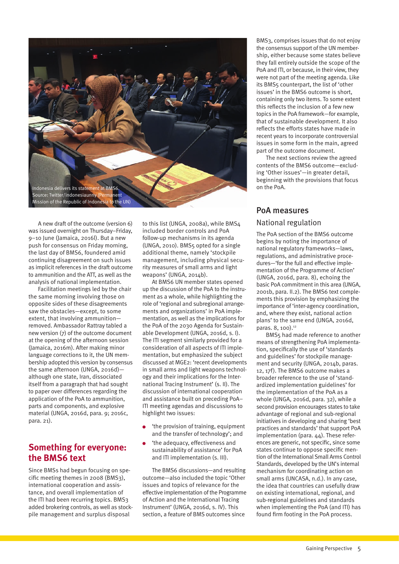

A new draft of the outcome (version 6) was issued overnight on Thursday–Friday, 9–10 June (Jamaica, 2016l). But a new push for consensus on Friday morning, the last day of BMS6, foundered amid continuing disagreement on such issues as implicit references in the draft outcome to ammunition and the ATT, as well as the analysis of national implementation.

Facilitation meetings led by the chair the same morning involving those on opposite sides of these disagreements saw the obstacles—except, to some extent, that involving ammunition removed. Ambassador Rattray tabled a new version (7) of the outcome document at the opening of the afternoon session (Jamaica, 2016m). After making minor language corrections to it, the UN membership adopted this version by consensus the same afternoon (UNGA, 2016d) although one state, Iran, dissociated itself from a paragraph that had sought to paper over differences regarding the application of the PoA to ammunition, parts and components, and explosive material (UNGA, 2016d, para. 9; 2016c, para. 21).

#### **Something for everyone: the BMS6 text**

Since BMSs had begun focusing on specific meeting themes in 2008 (BMS3), international cooperation and assistance, and overall implementation of the ITI had been recurring topics. BMS3 added brokering controls, as well as stockpile management and surplus disposal

to this list (UNGA, 2008a), while BMS4 included border controls and PoA follow-up mechanisms in its agenda (UNGA, 2010). BMS5 opted for a single additional theme, namely 'stockpile management, including physical security measures of small arms and light weapons' (UNGA, 2014b).

At BMS6 UN member states opened up the discussion of the PoA to the instrument as a whole, while highlighting the role of 'regional and subregional arrangements and organizations' in PoA implementation, as well as the implications for the PoA of the 2030 Agenda for Sustainable Development (UNGA, 2016d, s. I). The ITI segment similarly provided for a consideration of all aspects of ITI implementation, but emphasized the subject discussed at MGE2: 'recent developments in small arms and light weapons technology and their implications for the International Tracing Instrument' (s. II). The discussion of international cooperation and assistance built on preceding PoA– ITI meeting agendas and discussions to highlight two issues:

- 'the provision of training, equipment and the transfer of technology'; and
- 'the adequacy, effectiveness and sustainability of assistance' for PoA and ITI implementation (s. III).

The BMS6 discussions—and resulting outcome—also included the topic 'Other issues and topics of relevance for the effective implementation of the Programme of Action and the International Tracing Instrument' (UNGA, 2016d, s. IV). This section, a feature of BMS outcomes since

BMS3, comprises issues that do not enjoy the consensus support of the UN membership, either because some states believe they fall entirely outside the scope of the PoA and ITI, or because, in their view, they were not part of the meeting agenda. Like its BMS5 counterpart, the list of 'other issues' in the BMS6 outcome is short, containing only two items. To some extent this reflects the inclusion of a few new topics in the PoA framework—for example, that of sustainable development. It also reflects the efforts states have made in recent years to incorporate controversial issues in some form in the main, agreed part of the outcome document.

The next sections review the agreed contents of the BMS6 outcome—excluding 'Other issues'—in greater detail, beginning with the provisions that focus on the PoA.

### PoA measures

#### National regulation

The PoA section of the BMS6 outcome begins by noting the importance of national regulatory frameworks—laws, regulations, and administrative procedures—'for the full and effective implementation of the Programme of Action' (UNGA, 2016d, para. 8), echoing the basic PoA commitment in this area (UNGA, 2001b, para. II.2). The BMS6 text complements this provision by emphasizing the importance of 'inter-agency coordination, and, where they exist, national action plans' to the same end (UNGA, 2016d, paras. 8, 100).<sup>12</sup>

BMS5 had made reference to another means of strengthening PoA implementation, specifically the use of 'standards and guidelines' for stockpile management and security (UNGA, 2014b, paras. 12, 17f). The BMS6 outcome makes a broader reference to the use of 'standardized implementation guidelines' for the implementation of the PoA as a whole (UNGA, 2016d, para. 32), while a second provision encourages states to take advantage of regional and sub-regional initiatives in developing and sharing 'best practices and standards' that support PoA implementation (para. 44). These references are generic, not specific, since some states continue to oppose specific mention of the International Small Arms Control Standards, developed by the UN's internal mechanism for coordinating action on small arms (UNCASA, n.d.). In any case, the idea that countries can usefully draw on existing international, regional, and sub-regional guidelines and standards when implementing the PoA (and ITI) has found firm footing in the PoA process.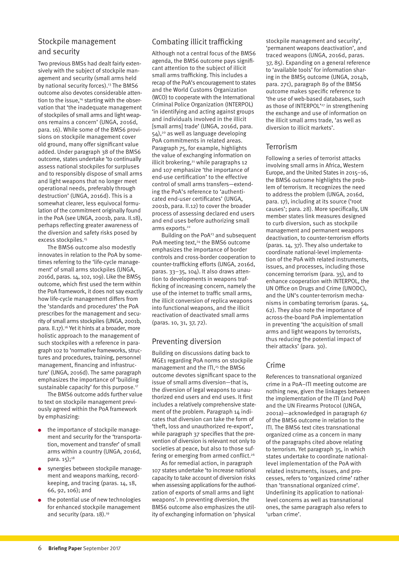#### Stockpile management and security

Two previous BMSs had dealt fairly extensively with the subject of stockpile management and security (small arms held by national security forces).<sup>13</sup> The BMS6 outcome also devotes considerable attention to the issue,<sup>14</sup> starting with the observation that 'the inadequate management of stockpiles of small arms and light weapons remains a concern' (UNGA, 2016d, para. 16). While some of the BMS6 provisions on stockpile management cover old ground, many offer significant value added. Under paragraph 38 of the BMS6 outcome, states undertake 'to continually assess national stockpiles for surpluses and to responsibly dispose of small arms and light weapons that no longer meet operational needs, preferably through destruction' (UNGA, 2016d). This is a somewhat clearer, less equivocal formulation of the commitment originally found in the PoA (see UNGA, 2001b, para. II.18), perhaps reflecting greater awareness of the diversion and safety risks posed by excess stockpiles.<sup>15</sup>

The BMS6 outcome also modestly innovates in relation to the PoA by sometimes referring to the 'life-cycle management' of small arms stockpiles (UNGA, 2016d, paras. 14, 102, 109). Like the BMS5 outcome, which first used the term within the PoA framework, it does not say exactly how life-cycle management differs from the 'standards and procedures' the PoA prescribes for the management and security of small arms stockpiles (UNGA, 2001b, para. II.17).16 Yet it hints at a broader, more holistic approach to the management of such stockpiles with a reference in paragraph 102 to 'normative frameworks, structures and procedures, training, personnel management, financing and infrastructure' (UNGA, 2016d). The same paragraph emphasizes the importance of 'building sustainable capacity' for this purpose.<sup>17</sup>

The BMS6 outcome adds further value to text on stockpile management previously agreed within the PoA framework by emphasizing:

- the importance of stockpile management and security for the 'transportation, movement and transfer' of small arms within a country (UNGA, 2016d, para. 15);18
- synergies between stockpile management and weapons marking, recordkeeping, and tracing (paras. 14, 18, 66, 92, 106); and
- the potential use of new technologies for enhanced stockpile management and security (para. 18).<sup>19</sup>

#### Combating illicit trafficking

Although not a central focus of the BMS6 agenda, the BMS6 outcome pays significant attention to the subject of illicit small arms trafficking. This includes a recap of the PoA's encouragement to states and the World Customs Organization (WCO) to cooperate with the International Criminal Police Organization (INTERPOL) 'in identifying and acting against groups and individuals involved in the illicit [small arms] trade' (UNGA, 2016d, para. 54),20 as well as language developing PoA commitments in related areas. Paragraph 75, for example, highlights the value of exchanging information on illicit brokering,<sup>21</sup> while paragraphs 12 and 107 emphasize 'the importance of end-use certification' to the effective control of small arms transfers—extending the PoA's reference to 'authenticated end-user certificates' (UNGA, 2001b, para. II.12) to cover the broader process of assessing declared end users and end uses before authorizing small arms exports.<sup>22</sup>

Building on the PoA<sup>23</sup> and subsequent PoA meeting text,<sup>24</sup> the BMS6 outcome emphasizes the importance of border controls and cross-border cooperation to counter-trafficking efforts (UNGA, 2016d, paras. 33–35, 104). It also draws attention to developments in weapons trafficking of increasing concern, namely the use of the internet to traffic small arms, the illicit conversion of replica weapons into functional weapons, and the illicit reactivation of deactivated small arms (paras. 10, 31, 37, 72).

#### Preventing diversion

Building on discussions dating back to MGE1 regarding PoA norms on stockpile management and the ITI,<sup>25</sup> the BMS6 outcome devotes significant space to the issue of small arms diversion—that is, the diversion of legal weapons to unauthorized end users and end uses. It first includes a relatively comprehensive statement of the problem. Paragraph 14 indicates that diversion can take the form of 'theft, loss and unauthorized re-export', while paragraph 37 specifies that the prevention of diversion is relevant not only to societies at peace, but also to those suffering or emerging from armed conflict.<sup>26</sup>

As for remedial action, in paragraph 107 states undertake 'to increase national capacity to take account of diversion risks when assessing applications for the authorization of exports of small arms and light weapons'. In preventing diversion, the BMS6 outcome also emphasizes the utility of exchanging information on 'physical

stockpile management and security', 'permanent weapons deactivation', and traced weapons (UNGA, 2016d, paras. 37, 85). Expanding on a general reference to 'available tools' for information sharing in the BMS5 outcome (UNGA, 2014b, para. 27c), paragraph 89 of the BMS6 outcome makes specific reference to 'the use of web-based databases, such as those of INTERPOL'<sup>27</sup> in strengthening the exchange and use of information on the illicit small arms trade, 'as well as diversion to illicit markets'.

#### Terrorism

Following a series of terrorist attacks involving small arms in Africa, Western Europe, and the United States in 2015–16, the BMS6 outcome highlights the problem of terrorism. It recognizes the need to address the problem (UNGA, 2016d, para. 17), including at its source ('root causes'; para. 28). More specifically, UN member states link measures designed to curb diversion, such as stockpile management and permanent weapons deactivation, to counter-terrorism efforts (paras. 14, 37). They also undertake to coordinate national-level implementation of the PoA with related instruments, issues, and processes, including those concerning terrorism (para. 35), and to enhance cooperation with INTERPOL, the UN Office on Drugs and Crime (UNODC), and the UN's counter-terrorism mechanisms in combating terrorism (paras. 54, 62). They also note the importance of across-the-board PoA implementation in preventing 'the acquisition of small arms and light weapons by terrorists, thus reducing the potential impact of their attacks' (para. 30).

#### Crime

References to transnational organized crime in a PoA–ITI meeting outcome are nothing new, given the linkages between the implementation of the ITI (and PoA) and the UN Firearms Protocol (UNGA, 2001a)—acknowledged in paragraph 67 of the BMS6 outcome in relation to the ITI. The BMS6 text cites transnational organized crime as a concern in many of the paragraphs cited above relating to terrorism. Yet paragraph 35, in which states undertake to coordinate nationallevel implementation of the PoA with related instruments, issues, and processes, refers to 'organized crime' rather than 'transnational organized crime'. Underlining its application to nationallevel concerns as well as transnational ones, the same paragraph also refers to 'urban crime'.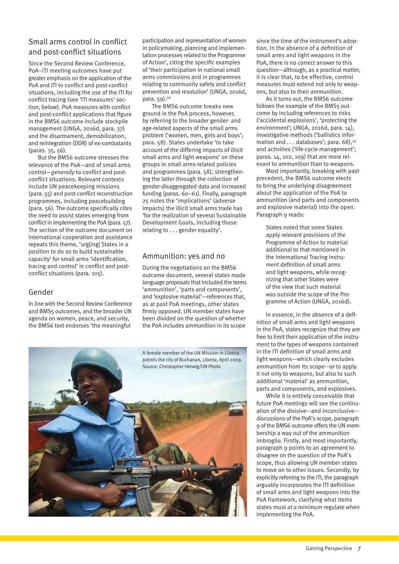#### Small arms control in conflict and post-conflict situations

Since the Second Review Conference, PoA–ITI meeting outcomes have put greater emphasis on the application of the PoA and ITI to conflict and post-conflict situations, including the use of the ITI for conflict tracing (see 'ITI measures' section, below). PoA measures with conflict and post-conflict applications that figure in the BMS6 outcome include stockpile management (UNGA, 2016d, para. 37) and the disarmament, demobilization, and reintegration (DDR) of ex-combatants (paras. 35, 56).

But the BMS6 outcome stresses the relevance of the PoA—and of small arms control—*generally* to conflict and postconflict situations. Relevant contexts include UN peacekeeping missions (para. 55) and post-conflict reconstruction programmes, including peacebuilding (para. 56). The outcome specifically cites the need to assist states emerging from conflict in implementing the PoA (para. 57). The section of the outcome document on international cooperation and assistance repeats this theme, 'urg[ing] States in a position to do so to build sustainable capacity' for small arms 'identification, tracing and control' in conflict and postconflict situations (para. 105).

#### Gender

In line with the Second Review Conference and BMS5 outcomes, and the broader UN agenda on women, peace, and security, the BMS6 text endorses 'the meaningful

participation and representation of women in policymaking, planning and implementation processes related to the Programme of Action', citing the specific examples of 'their participation in national small arms commissions and in programmes relating to community safety and conflict prevention and resolution' (UNGA, 2016d, para. 59).<sup>28</sup>

The BMS6 outcome breaks new ground in the PoA process, however, by referring to the broader gender- and age-related aspects of the small arms problem ('women, men, girls and boys'; para. 58). States undertake 'to take account of the differing impacts of illicit small arms and light weapons' on these groups in small arms-related policies and programmes (para. 58), strengthening the latter through the collection of gender-disaggregated data and increased funding (paras. 60–61). Finally, paragraph 25 notes the 'implications' (adverse impacts) the illicit small arms trade has 'for the realization of several Sustainable Development Goals, including those relating to . . . gender equality'.

#### Ammunition: yes and no

During the negotiations on the BMS6 outcome document, several states made language proposals that included the terms 'ammunition', 'parts and components', and 'explosive material'—references that, as at past PoA meetings, other states firmly opposed. UN member states have been divided on the question of whether the PoA includes ammunition in its scope



since the time of the instrument's adoption. In the absence of a definition of small arms and light weapons in the PoA, there is no correct answer to this question—although, as a practical matter, it is clear that, to be effective, control measures must extend not only to weapons, but also to their ammunition.

As it turns out, the BMS6 outcome follows the example of the BMS5 outcome by including references to risks ('accidental explosions', 'protecting the environment'; UNGA, 2016d, para. 14), investigative methods ('ballistics information and  $\ldots$  databases'; para. 68),<sup>29</sup> and activities ('life-cycle management'; paras. 14, 102, 109) that are more relevant to ammunition than to weapons.

Most importantly, breaking with past precedent, the BMS6 outcome elects to bring the underlying disagreement about the application of the PoA to ammunition (and parts and components and explosive material) into the open. Paragraph 9 reads:

States noted that some States apply relevant provisions of the Programme of Action to material additional to that mentioned in the International Tracing Instrument definition of small arms and light weapons, while recognizing that other States were of the view that such material was outside the scope of the Programme of Action (UNGA, 2016d).

In essence, in the absence of a definition of small arms and light weapons in the PoA, states recognize that they are free to limit their application of the instrument to the types of weapons contained in the ITI definition of small arms and light weapons—which clearly excludes ammunition from its scope—or to apply it not only to weapons, but also to such additional 'material' as ammunition, parts and components, and explosives.

While it is entirely conceivable that future PoA meetings will see the continuation of the divisive—and inconclusive discussions of the PoA's scope, paragraph 9 of the BMS6 outcome offers the UN membership a way out of the ammunition imbroglio. Firstly, and most importantly, paragraph 9 points to an agreement to disagree on the question of the PoA's scope, thus allowing UN member states to move on to other issues. Secondly, by explicitly referring to the ITI, the paragraph arguably incorporates the ITI definition of small arms and light weapons into the PoA framework, clarifying what items states must *at a minimum* regulate when implementing the PoA.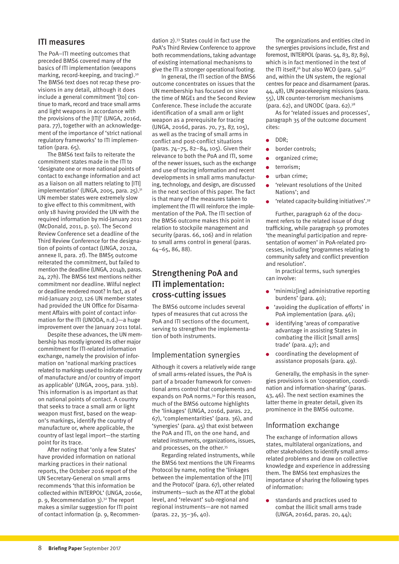#### ITI measures

The PoA–ITI meeting outcomes that preceded BMS6 covered many of the basics of ITI implementation (weapons marking, record-keeping, and tracing).30 The BMS6 text does not recap these provisions in any detail, although it does include a general commitment '[to] continue to mark, record and trace small arms and light weapons in accordance with the provisions of the [ITI]' (UNGA, 2016d, para. 77), together with an acknowledgement of the importance of 'strict national regulatory frameworks' to ITI implementation (para. 65).

The BMS6 text fails to reiterate the commitment states made in the ITI to 'designate one or more national points of contact to exchange information and act as a liaison on all matters relating to [ITI] implementation' (UNGA, 2005, para. 25). $31$ UN member states were extremely slow to give effect to this commitment, with only 18 having provided the UN with the required information by mid-January 2011 (McDonald, 2011, p. 50). The Second Review Conference set a deadline of the Third Review Conference for the designation of points of contact (UNGA, 2012a, annexe II, para. 2f). The BMS5 outcome reiterated the commitment, but failed to mention the deadline (UNGA, 2014b, paras. 24, 27h). The BMS6 text mentions neither commitment nor deadline. Wilful neglect or deadline rendered moot? In fact, as of mid-January 2017, 126 UN member states had provided the UN Office for Disarmament Affairs with point of contact information for the ITI (UNODA, n.d.)—a huge improvement over the January 2011 total.

Despite these advances, the UN membership has mostly ignored its other major commitment for ITI-related information exchange, namely the provision of information on 'national marking practices related to markings used to indicate country of manufacture and/or country of import as applicable' (UNGA, 2005, para. 31b). This information is as important as that on national points of contact. A country that seeks to trace a small arm or light weapon must first, based on the weapon's markings, identify the country of manufacture or, where applicable, the country of last legal import—the starting point for its trace.

After noting that 'only a few States' have provided information on national marking practices in their national reports, the October 2016 report of the UN Secretary-General on small arms recommends 'that this information be collected within INTERPOL' (UNGA, 2016e, p. 9, Recommendation  $3$ ).<sup>32</sup> The report makes a similar suggestion for ITI point of contact information (p. 9, Recommendation 2).33 States could in fact use the PoA's Third Review Conference to approve both recommendations, taking advantage of existing international mechanisms to give the ITI a stronger operational footing.

In general, the ITI section of the BMS6 outcome concentrates on issues that the UN membership has focused on since the time of MGE1 and the Second Review Conference. These include the accurate identification of a small arm or light weapon as a prerequisite for tracing (UNGA, 2016d, paras. 70, 73, 87, 105), as well as the tracing of small arms in conflict and post-conflict situations (paras. 74–75, 82–84, 105). Given their relevance to both the PoA and ITI, some of the newer issues, such as the exchange and use of tracing information and recent developments in small arms manufacturing, technology, and design, are discussed in the next section of this paper. The fact is that many of the measures taken to implement the ITI will reinforce the implementation of the PoA. The ITI section of the BMS6 outcome makes this point in relation to stockpile management and security (paras. 66, 106) and in relation to small arms control in general (paras. 64–65, 86, 88).

#### Strengthening PoA and ITI implementation: cross-cutting issues

The BMS6 outcome includes several types of measures that cut across the PoA and ITI sections of the document, serving to strengthen the implementation of both instruments.

#### Implementation synergies

Although it covers a relatively wide range of small arms-related issues, the PoA is part of a broader framework for conventional arms control that complements and expands on PoA norms.<sup>34</sup> For this reason. much of the BMS6 outcome highlights the 'linkages' (UNGA, 2016d, paras. 22, 67), 'complementarities' (para. 36), and 'synergies' (para. 45) that exist between the PoA and ITI, on the one hand, and related instruments, organizations, issues, and processes, on the other.<sup>35</sup>

Regarding related instruments, while the BMS6 text mentions the UN Firearms Protocol by name, noting the 'linkages between the implementation of the [ITI] and the Protocol' (para. 67), other related instruments—such as the ATT at the global level, and 'relevant' sub-regional and regional instruments—are not named (paras. 22, 35–36, 40).

The organizations and entities cited in the synergies provisions include, first and foremost, INTERPOL (paras. 54, 83, 87, 89), which is in fact mentioned in the text of the ITI itself,<sup>36</sup> but also WCO (para.  $54$ )<sup>37</sup> and, within the UN system, the regional centres for peace and disarmament (paras. 44, 48), UN peacekeeping missions (para. 55), UN counter-terrorism mechanisms (para. 62), and UNODC (para. 62). $38$ 

As for 'related issues and processes', paragraph 35 of the outcome document cites:

- $\bullet$ DDR;
- border controls;  $\bullet$
- organized crime;
- terrorism;  $\bullet$
- urban crime;
- 'relevant resolutions of the United  $\bullet$ Nations'; and
- 'related capacity-building initiatives'.39

Further, paragraph 62 of the document refers to the related issue of drug trafficking, while paragraph 59 promotes 'the meaningful participation and representation of women' in PoA-related processes, including 'programmes relating to community safety and conflict prevention and resolution'.

In practical terms, such synergies can involve:

- 'minimiz[ing] administrative reporting burdens' (para. 40);
- 'avoiding the duplication of efforts' in PoA implementation (para. 46);
- identifying 'areas of comparative advantage in assisting States in combating the illicit [small arms] trade' (para. 47); and
- coordinating the development of assistance proposals (para. 49).

Generally, the emphasis in the synergies provisions is on 'cooperation, coordination and information-sharing' (paras. 43, 46). The next section examines the latter theme in greater detail, given its prominence in the BMS6 outcome.

#### Information exchange

The exchange of information allows states, multilateral organizations, and other stakeholders to identify small armsrelated problems and draw on collective knowledge and experience in addressing them. The BMS6 text emphasizes the importance of sharing the following types of information:

standards and practices used to  $\bullet$ combat the illicit small arms trade (UNGA, 2016d, paras. 20, 44);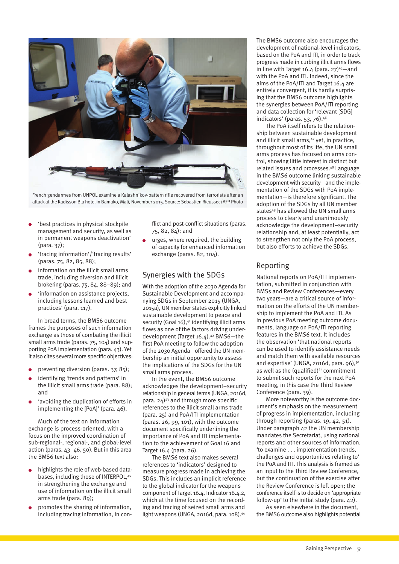

French gendarmes from UNPOL examine a Kalashnikov-pattern rifle recovered from terrorists after an attack at the Radisson Blu hotel in Bamako, Mali, November 2015. Source: Sebastien Rieussec/AFP Photo

- 'best practices in physical stockpile management and security, as well as in permanent weapons deactivation' (para. 37);
- 'tracing information'/'tracing results' (paras. 75, 82, 85, 88);
- information on the illicit small arms trade, including diversion and illicit brokering (paras. 75, 84, 88–89); and
- 'information on assistance projects, including lessons learned and best practices' (para. 117).

In broad terms, the BMS6 outcome frames the purposes of such information exchange as those of combating the illicit small arms trade (paras, 75, 104) and supporting PoA implementation (para. 43). Yet it also cites several more specific objectives:

- preventing diversion (paras. 37, 85);
- identifying 'trends and patterns' in the illicit small arms trade (para. 88); and
- 'avoiding the duplication of efforts in implementing the [PoA]' (para. 46).

Much of the text on information exchange is process-oriented, with a focus on the improved coordination of sub-regional-, regional-, and global-level action (paras. 43–46, 50). But in this area the BMS6 text also:

- highlights the role of web-based databases, including those of INTERPOL, 40 in strengthening the exchange and use of information on the illicit small arms trade (para. 89);
- promotes the sharing of information, including tracing information, in con-

flict and post-conflict situations (paras. 75, 82, 84); and

urges, where required, the building of capacity for enhanced information exchange (paras. 82, 104).

#### Synergies with the SDGs

With the adoption of the 2030 Agenda for Sustainable Development and accompanying SDGs in September 2015 (UNGA, 2015a), UN member states explicitly linked sustainable development to peace and security (Goal 16),<sup>41</sup> identifying illicit arms flows as one of the factors driving underdevelopment (Target 16.4).42 BMS6—the first PoA meeting to follow the adoption of the 2030 Agenda—offered the UN membership an initial opportunity to assess the implications of the SDGs for the UN small arms process.

In the event, the BMS6 outcome acknowledges the development–security relationship in general terms (UNGA, 2016d, para.  $24^{43}$  and through more specific references to the illicit small arms trade (para. 25) and PoA/ITI implementation (paras. 26, 99, 101), with the outcome document specifically underlining the importance of PoA and ITI implementation to the achievement of Goal 16 and Target 16.4 (para. 26).

The BMS6 text also makes several references to 'indicators' designed to measure progress made in achieving the SDGs. This includes an implicit reference to the global indicator for the weapons component of Target 16.4, Indicator 16.4.2, which at the time focused on the recording and tracing of seized small arms and light weapons (UNGA, 2016d, para. 108).<sup>44</sup>

The BMS6 outcome also encourages the development of national-level indicators, based on the PoA and ITI, in order to track progress made in curbing illicit arms flows in line with Target 16.4 (para.  $27$ )<sup>45</sup>-and with the PoA and ITI. Indeed, since the aims of the PoA/ITI and Target 16.4 are entirely convergent, it is hardly surprising that the BMS6 outcome highlights the synergies between PoA/ITI reporting and data collection for 'relevant [SDG] indicators' (paras. 53, 76).<sup>46</sup>

The PoA itself refers to the relationship between sustainable development and illicit small arms,<sup>47</sup> yet, in practice, throughout most of its life, the UN small arms process has focused on arms control, showing little interest in distinct but related issues and processes.48 Language in the BMS6 outcome linking sustainable development with security—and the implementation of the SDGs with PoA implementation—is therefore significant. The adoption of the SDGs by all UN member states49 has allowed the UN small arms process to clearly and unanimously acknowledge the development–security relationship and, at least potentially, act to strengthen not only the PoA process, but also efforts to achieve the SDGs.

#### Reporting

National reports on PoA/ITI implementation, submitted in conjunction with BMSs and Review Conferences—every two years—are a critical source of information on the efforts of the UN membership to implement the PoA and ITI. As in previous PoA meeting outcome documents, language on PoA/ITI reporting features in the BMS6 text. It includes the observation 'that national reports can be used to identify assistance needs and match them with available resources and expertise' (UNGA, 2016d, para. 96),<sup>50</sup> as well as the (qualified) $51$  commitment to submit such reports for the next PoA meeting, in this case the Third Review Conference (para. 39).

More noteworthy is the outcome document's emphasis on the measurement of progress in implementation, including through reporting (paras. 19, 42, 51). Under paragraph 42 the UN membership mandates the Secretariat, using national reports and other sources of information, 'to examine . . . implementation trends, challenges and opportunities relating to' the PoA and ITI. This analysis is framed as an input to the Third Review Conference, but the continuation of the exercise after the Review Conference is left open; the conference itself is to decide on 'appropriate follow-up' to the initial study (para. 42).

As seen elsewhere in the document, the BMS6 outcome also highlights potential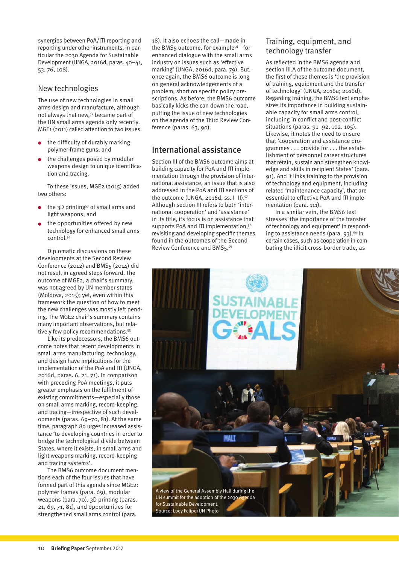synergies between PoA/ITI reporting and reporting under other instruments, in particular the 2030 Agenda for Sustainable Development (UNGA, 2016d, paras. 40–41, 53, 76, 108).

#### New technologies

The use of new technologies in small arms design and manufacture, although not always that new,52 became part of the UN small arms agenda only recently. MGE1 (2011) called attention to two issues:

- the difficulty of durably marking polymer-frame guns; and
- the challenges posed by modular weapons design to unique identification and tracing.

To these issues, MGE2 (2015) added two others:

- the 3D printing53 of small arms and light weapons; and
- the opportunities offered by new technology for enhanced small arms control<sup>54</sup>

Diplomatic discussions on these developments at the Second Review Conference (2012) and BMS5 (2014) did not result in agreed steps forward. The outcome of MGE2, a chair's summary, was not agreed by UN member states (Moldova, 2015); yet, even within this framework the question of how to meet the new challenges was mostly left pending. The MGE2 chair's summary contains many important observations, but relatively few policy recommendations.<sup>55</sup>

Like its predecessors, the BMS6 outcome notes that recent developments in small arms manufacturing, technology, and design have implications for the implementation of the PoA and ITI (UNGA, 2016d, paras. 6, 21, 71). In comparison with preceding PoA meetings, it puts greater emphasis on the fulfilment of existing commitments—especially those on small arms marking, record-keeping, and tracing—irrespective of such developments (paras. 69–70, 81). At the same time, paragraph 80 urges increased assistance 'to developing countries in order to bridge the technological divide between States, where it exists, in small arms and light weapons marking, record-keeping and tracing systems'.

The BMS6 outcome document mentions each of the four issues that have formed part of this agenda since MGE2: polymer frames (para. 69), modular weapons (para. 70), 3D printing (paras. 21, 69, 71, 81), and opportunities for strengthened small arms control (para.

18). It also echoes the call—made in the BMS5 outcome, for example<sup>56</sup>-for enhanced dialogue with the small arms industry on issues such as 'effective marking' (UNGA, 2016d, para. 79). But, once again, the BMS6 outcome is long on general acknowledgements of a problem, short on specific policy prescriptions. As before, the BMS6 outcome basically kicks the can down the road, putting the issue of new technologies on the agenda of the Third Review Conference (paras. 63, 90).

#### International assistance

Section III of the BMS6 outcome aims at building capacity for PoA and ITI implementation through the provision of international assistance, an issue that is also addressed in the PoA and ITI sections of the outcome (UNGA, 2016d, ss. I-II).<sup>57</sup> Although section III refers to both 'international cooperation' and 'assistance' in its title, its focus is on assistance that supports PoA and ITI implementation.<sup>58</sup> revisiting and developing specific themes found in the outcomes of the Second Review Conference and BMS5.59

#### Training, equipment, and technology transfer

As reflected in the BMS6 agenda and section III.A of the outcome document, the first of these themes is 'the provision of training, equipment and the transfer of technology' (UNGA, 2016a; 2016d). Regarding training, the BMS6 text emphasizes its importance in building sustainable capacity for small arms control, including in conflict and post-conflict situations (paras. 91–92, 102, 105). Likewise, it notes the need to ensure that 'cooperation and assistance programmes . . . provide for . . . the establishment of personnel career structures that retain, sustain and strengthen knowledge and skills in recipient States' (para. 91). And it links training to the provision of technology and equipment, including related 'maintenance capacity', that are essential to effective PoA and ITI implementation (para. 111).

In a similar vein, the BMS6 text stresses 'the importance of the transfer of technology and equipment' in responding to assistance needs (para.  $93$ ).<sup>60</sup> In certain cases, such as cooperation in combating the illicit cross-border trade, as

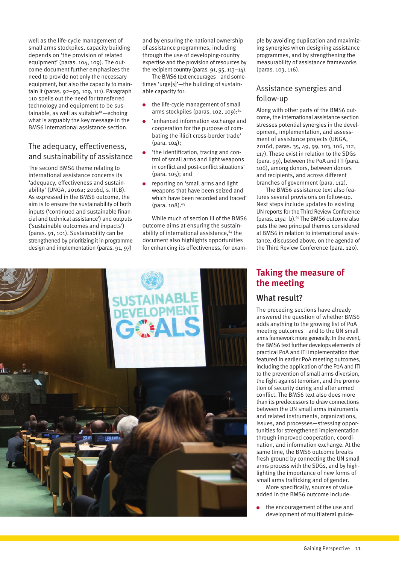well as the life-cycle management of small arms stockpiles, capacity building depends on 'the provision of related equipment' (paras. 104, 109). The outcome document further emphasizes the need to provide not only the necessary equipment, but also the capacity to maintain it (paras. 92–93, 109, 111). Paragraph 110 spells out the need for transferred technology and equipment to be sustainable, as well as suitable $64$ —echoing what is arguably the key message in the BMS6 international assistance section.

#### The adequacy, effectiveness, and sustainability of assistance

The second BMS6 theme relating to international assistance concerns its 'adequacy, effectiveness and sustainability' (UNGA, 2016a; 2016d, s. III.B). As expressed in the BMS6 outcome, the aim is to ensure the sustainability of both inputs ('continued and sustainable financial and technical assistance') and outputs ('sustainable outcomes and impacts') (paras. 91, 101). Sustainability can be strengthened by prioritizing it in programme design and implementation (paras. 91, 97) and by ensuring the national ownership of assistance programmes, including through the use of developing-country expertise and the provision of resources by the recipient country (paras. 91, 95, 113–14).

The BMS6 text encourages—and sometimes 'urge[s]'—the building of sustainable capacity for:

- the life-cycle management of small arms stockpiles (paras. 102, 109);<sup>62</sup>
- 'enhanced information exchange and cooperation for the purpose of combating the illicit cross-border trade' (para. 104);
- 'the identification, tracing and control of small arms and light weapons in conflict and post-conflict situations' (para. 105); and
- reporting on 'small arms and light weapons that have been seized and which have been recorded and traced'  $(para. 108).<sup>63</sup>$

While much of section III of the BMS6 outcome aims at ensuring the sustainability of international assistance,<sup>64</sup> the document also highlights opportunities for enhancing its effectiveness, for example by avoiding duplication and maximizing synergies when designing assistance programmes, and by strengthening the measurability of assistance frameworks (paras. 103, 116).

#### Assistance synergies and follow-up

Along with other parts of the BMS6 outcome, the international assistance section stresses potential synergies in the development, implementation, and assessment of assistance projects (UNGA, 2016d, paras. 35, 49, 99, 103, 106, 112, 117). These exist in relation to the SDGs (para. 99), between the PoA and ITI (para. 106), among donors, between donors and recipients, and across different branches of government (para. 112).

The BMS6 assistance text also features several provisions on follow-up. Next steps include updates to existing UN reports for the Third Review Conference (paras. 119a–b). $65$  The BMS6 outcome also puts the two principal themes considered at BMS6 in relation to international assistance, discussed above, on the agenda of the Third Review Conference (para. 120).

### **Taking the measure of the meeting**

#### What result?

The preceding sections have already answered the question of whether BMS6 adds anything to the growing list of PoA meeting outcomes—and to the UN small arms framework more generally. In the event, the BMS6 text further develops elements of practical PoA and ITI implementation that featured in earlier PoA meeting outcomes, including the application of the PoA and ITI to the prevention of small arms diversion, the fight against terrorism, and the promotion of security during and after armed conflict. The BMS6 text also does more than its predecessors to draw connections between the UN small arms instruments and related instruments, organizations, issues, and processes—stressing opportunities for strengthened implementation through improved cooperation, coordination, and information exchange. At the same time, the BMS6 outcome breaks fresh ground by connecting the UN small arms process with the SDGs, and by highlighting the importance of new forms of small arms trafficking and of gender.

More specifically, sources of value added in the BMS6 outcome include:

the encouragement of the use and development of multilateral guide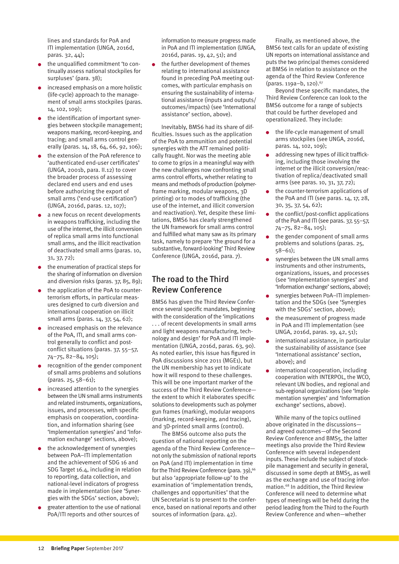lines and standards for PoA and ITI implementation (UNGA, 2016d, paras. 32, 44);

- the unqualified commitment 'to continually assess national stockpiles for surpluses' (para. 38);
- increased emphasis on a more holistic (life-cycle) approach to the management of small arms stockpiles (paras. 14, 102, 109);
- the identification of important synergies between stockpile management; weapons marking, record-keeping, and tracing; and small arms control generally (paras. 14, 18, 64, 66, 92, 106);
- the extension of the PoA reference to 'authenticated end-user certificates' (UNGA, 2001b, para. II.12) to cover the broader process of assessing declared end users and end uses before authorizing the export of small arms ('end-use certification') (UNGA, 2016d, paras. 12, 107);
- a new focus on recent developments in weapons trafficking, including the use of the internet, the illicit conversion of replica small arms into functional small arms, and the illicit reactivation of deactivated small arms (paras. 10, 31, 37, 72);
- the enumeration of practical steps for the sharing of information on diversion and diversion risks (paras. 37, 85, 89);
- the application of the PoA to counterterrorism efforts, in particular measures designed to curb diversion and international cooperation on illicit small arms (paras. 14, 37, 54, 62);
- increased emphasis on the relevance of the PoA, ITI, and small arms control generally to conflict and postconflict situations (paras. 37, 55–57, 74–75, 82–84, 105);
- recognition of the gender component of small arms problems and solutions (paras. 25, 58–61);
- increased attention to the synergies between the UN small arms instruments and related instruments, organizations, issues, and processes, with specific emphasis on cooperation, coordination, and information sharing (see 'Implementation synergies' and 'Information exchange' sections, above);
- the acknowledgement of synergies between PoA–ITI implementation and the achievement of SDG 16 and SDG Target 16.4, including in relation to reporting, data collection, and national-level indicators of progress made in implementation (see 'Synergies with the SDGs' section, above);
- greater attention to the use of national PoA/ITI reports and other sources of

information to measure progress made in PoA and ITI implementation (UNGA, 2016d, paras. 19, 42, 51); and

the further development of themes relating to international assistance found in preceding PoA meeting outcomes, with particular emphasis on ensuring the sustainability of international assistance (inputs and outputs/ outcomes/impacts) (see 'International assistance' section, above).

Inevitably, BMS6 had its share of difficulties. Issues such as the application of the PoA to ammunition and potential synergies with the ATT remained politically fraught. Nor was the meeting able to come to grips in a meaningful way with the new challenges now confronting small arms control efforts, whether relating to means and methods of production (polymerframe marking, modular weapons, 3D printing) or to modes of trafficking (the use of the internet, and illicit conversion and reactivation). Yet, despite these limitations, BMS6 has clearly strengthened the UN framework for small arms control and fulfilled what many saw as its primary task, namely to prepare 'the ground for a substantive, forward-looking' Third Review Conference (UNGA, 2016d, para. 7).

#### The road to the Third Review Conference

BMS6 has given the Third Review Conference several specific mandates, beginning with the consideration of the 'implications . . . of recent developments in small arms and light weapons manufacturing, technology and design' for PoA and ITI implementation (UNGA, 2016d, paras. 63, 90). As noted earlier, this issue has figured in PoA discussions since 2011 (MGE1), but the UN membership has yet to indicate how it will respond to these challenges. This will be one important marker of the success of the Third Review Conference the extent to which it elaborates specific solutions to developments such as polymer gun frames (marking), modular weapons (marking, record-keeping, and tracing), and 3D-printed small arms (control).

The BMS6 outcome also puts the question of national reporting on the agenda of the Third Review Conference not only the submission of national reports on PoA (and ITI) implementation in time for the Third Review Conference (para. 39),<sup>66</sup> but also 'appropriate follow-up' to the examination of 'implementation trends, challenges and opportunities' that the UN Secretariat is to present to the conference, based on national reports and other sources of information (para. 42).

Finally, as mentioned above, the BMS6 text calls for an update of existing UN reports on international assistance and puts the two principal themes considered at BMS6 in relation to assistance on the agenda of the Third Review Conference (paras. 119a-b, 120).<sup>67</sup>

Beyond these specific mandates, the Third Review Conference can look to the BMS6 outcome for a range of subjects that could be further developed and operationalized. They include:

- the life-cycle management of small arms stockpiles (see UNGA, 2016d, paras. 14, 102, 109);
- addressing new types of illicit trafficking, including those involving the internet or the illicit conversion/reactivation of replica/deactivated small arms (see paras. 10, 31, 37, 72);
- the counter-terrorism applications of the PoA and ITI (see paras. 14, 17, 28, 30, 35, 37, 54, 62);
- the conflict/post-conflict applications of the PoA and ITI (see paras. 37, 55–57, 74–75, 82–84, 105);
- the gender component of small arms problems and solutions (paras. 25, 58–61);
- synergies between the UN small arms instruments and other instruments, organizations, issues, and processes (see 'Implementation synergies' and 'Information exchange' sections, above);
- synergies between PoA–ITI implementation and the SDGs (see 'Synergies with the SDGs' section, above);
- the measurement of progress made in PoA and ITI implementation (see UNGA, 2016d, paras. 19, 42, 51);
- international assistance, in particular the sustainability of assistance (see 'International assistance' section, above); and
- international cooperation, including cooperation with INTERPOL, the WCO, relevant UN bodies, and regional and sub-regional organizations (see 'Implementation synergies' and 'Information exchange' sections, above).

While many of the topics outlined above originated in the discussions and agreed outcomes—of the Second Review Conference and BMS5, the latter meetings also provide the Third Review Conference with several independent inputs. These include the subject of stockpile management and security in general, discussed in some depth at BMS5, as well as the exchange and use of tracing information.68 In addition, the Third Review Conference will need to determine what types of meetings will be held during the period leading from the Third to the Fourth Review Conference and when—whether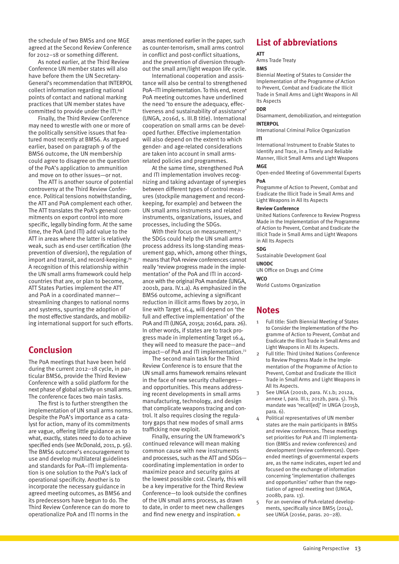the schedule of two BMSs and one MGE agreed at the Second Review Conference for 2012–18 or something different.

As noted earlier, at the Third Review Conference UN member states will also have before them the UN Secretary-General's recommendation that INTERPOL collect information regarding national points of contact and national marking practices that UN member states have committed to provide under the ITI.<sup>69</sup>

Finally, the Third Review Conference may need to wrestle with one or more of the politically sensitive issues that featured most recently at BMS6. As argued earlier, based on paragraph 9 of the BMS6 outcome, the UN membership could agree to disagree on the question of the PoA's application to ammunition and move on to other issues—or not.

The ATT is another source of potential controversy at the Third Review Conference. Political tensions notwithstanding, the ATT and PoA complement each other. The ATT translates the PoA's general commitments on export control into more specific, legally binding form. At the same time, the PoA (and ITI) add value to the ATT in areas where the latter is relatively weak, such as end-user certification (the prevention of diversion), the regulation of import and transit, and record-keeping.<sup>70</sup> A recognition of this relationship within the UN small arms framework could help countries that are, or plan to become, ATT States Parties implement the ATT and PoA in a coordinated manner streamlining changes to national norms and systems, spurring the adoption of the most effective standards, and mobilizing international support for such efforts.

#### **Conclusion**

The PoA meetings that have been held during the current 2012–18 cycle, in particular BMS6, provide the Third Review Conference with a solid platform for the next phase of global activity on small arms. The conference faces two main tasks.

The first is to further strengthen the implementation of UN small arms norms. Despite the PoA's importance as a catalyst for action, many of its commitments are vague, offering little guidance as to what, exactly, states need to do to achieve specified ends (see McDonald, 2011, p. 56). The BMS6 outcome's encouragement to use and develop multilateral guidelines and standards for PoA–ITI implementation is one solution to the PoA's lack of operational specificity. Another is to incorporate the necessary guidance in agreed meeting outcomes, as BMS6 and its predecessors have begun to do. The Third Review Conference can do more to operationalize PoA and ITI norms in the

areas mentioned earlier in the paper, such as counter-terrorism, small arms control in conflict and post-conflict situations, and the prevention of diversion throughout the small arm/light weapon life cycle.

International cooperation and assistance will also be central to strengthened PoA–ITI implementation. To this end, recent PoA meeting outcomes have underlined the need 'to ensure the adequacy, effectiveness and sustainability of assistance' (UNGA, 2016d, s. III.B title). International cooperation on small arms can be developed further. Effective implementation will also depend on the extent to which gender- and age-related considerations are taken into account in small armsrelated policies and programmes.

At the same time, strengthened PoA and ITI implementation involves recognizing and taking advantage of synergies between different types of control measures (stockpile management and recordkeeping, for example) and between the UN small arms instruments and related instruments, organizations, issues, and processes, including the SDGs.

With their focus on measurement,<sup>71</sup> the SDGs could help the UN small arms process address its long-standing measurement gap, which, among other things, means that PoA review conferences cannot really 'review progress made in the implementation' of the PoA and ITI in accordance with the original PoA mandate (UNGA, 2001b, para. IV.1.a). As emphasized in the BMS6 outcome, achieving a significant reduction in illicit arms flows by 2030, in line with Target 16.4, will depend on 'the full and effective implementation' of the PoA and ITI (UNGA, 2015a; 2016d, para. 26). In other words, if states are to track progress made in implementing Target 16.4, they will need to measure the pace—and impact—of PoA and ITI implementation.72

The second main task for the Third Review Conference is to ensure that the UN small arms framework remains relevant in the face of new security challenges and opportunities. This means addressing recent developments in small arms manufacturing, technology, and design that complicate weapons tracing and control. It also requires closing the regulatory gaps that new modes of small arms trafficking now exploit.

Finally, ensuring the UN framework's continued relevance will mean making common cause with new instruments and processes, such as the ATT and SDGs coordinating implementation in order to maximize peace and security gains at the lowest possible cost. Clearly, this will be a key imperative for the Third Review Conference—to look outside the confines of the UN small arms process, as drawn to date, in order to meet new challenges and find new energy and inspiration.  $\bullet$ 

#### **List of abbreviations**

#### **ATT**

Arms Trade Treaty

#### **BMS**

Biennial Meeting of States to Consider the Implementation of the Programme of Action to Prevent, Combat and Eradicate the Illicit Trade in Small Arms and Light Weapons in All Its Aspects

#### **DDR**

Disarmament, demobilization, and reintegration **INTEDDOL** 

International Criminal Police Organization **ITI**

International Instrument to Enable States to Identify and Trace, in a Timely and Reliable Manner, Illicit Small Arms and Light Weapons

#### **MGE**

Open-ended Meeting of Governmental Experts **PoA**

Programme of Action to Prevent, Combat and Eradicate the Illicit Trade in Small Arms and Light Weapons in All Its Aspects

#### **Review Conference**

United Nations Conference to Review Progress Made in the Implementation of the Programme of Action to Prevent, Combat and Eradicate the Illicit Trade in Small Arms and Light Weapons in All Its Aspects

#### **SDG**

Sustainable Development Goal

#### **UNODC**

UN Office on Drugs and Crime

#### **WCO**

World Customs Organization

#### **Notes**

- 1 Full title: Sixth Biennial Meeting of States to Consider the Implementation of the Programme of Action to Prevent, Combat and Eradicate the Illicit Trade in Small Arms and Light Weapons in All Its Aspects.
- 2 Full title: Third United Nations Conference to Review Progress Made in the Implementation of the Programme of Action to Prevent, Combat and Eradicate the Illicit Trade in Small Arms and Light Weapons in All Its Aspects.
- 3 See UNGA (2001b, para. IV.1.b; 2012a, annexe I, para. III.1; 2012b, para. 5). This mandate was 'recall[ed]' in UNGA (2015b, para. 6).
- 4 Political representatives of UN member states are the main participants in BMSs and review conferences. These meetings set priorities for PoA and ITI implementation (BMSs and review conferences) and development (review conferences). Openended meetings of governmental experts are, as the name indicates, expert led and focused on the exchange of information concerning 'implementation challenges and opportunities' rather than the negotiation of agreed meeting text (UNGA, 2008b, para. 13).
- 5 For an overview of PoA-related developments, specifically since BMS5 (2014), see UNGA (2016e, paras. 20–28).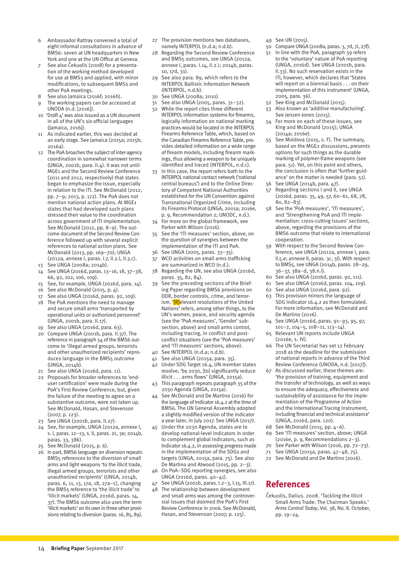- 6 Ambassador Rattray convened a total of eight informal consultations in advance of BMS6: seven at UN headquarters in New York and one at the UN Office at Geneva.
- See also Čekuolis (2008) for a presentation of the working method developed for use at BMS3 and applied, with minor modifications, to subsequent BMSs and other PoA meetings.
- 8 See also Jamaica (2016f; 2016h).
- The working papers can be accessed at UNODA (n.d. [2016]). 10 'Draft 4' was also issued as a UN document
- in all of the UN's six official languages (Jamaica, 2016j).
- 11 As indicated earlier, this was decided at an early stage. See Jamaica (2015a; 2015b; 2016a).
- 12 The PoA broaches the subject of inter-agency coordination in somewhat narrower terms (UNGA, 2001b, para. II.4). It was not until MGE1 and the Second Review Conference (2011 and 2012, respectively) that states began to emphasize the issue, especially in relation to the ITI. See McDonald (2012, pp. 7–9; 2013, p. 172). The PoA does not mention national action plans. At MGE1 states that had developed such plans stressed their value to the coordination across government of ITI implementation. See McDonald (2012, pp. 8–9). The outcome document of the Second Review Conference followed up with several explicit references to national action plans. See McDonald (2013, pp. 169–70); UNGA (2012a, annexe I, paras. I.7, II.2.l, II.3.c).
- 13 See UNGA (2008a; 2014b).
- 14 See UNGA (2016d, paras. 13–16, 18, 37–38, 66, 92, 102, 106, 109).
- 15 See, for example, UNGA (2016d, para. 14).
- 16 See also McDonald (2015, p. 4).
- 17 See also UNGA (2016d, paras. 92, 109).
- 18 The PoA mentions the need to manage and secure small arms 'transported by operational units or authorized personnel' (UNGA, 2001b, para. II.17).
- 19 See also UNGA (2016d, para. 63).
- 20 Compare UNGA (2001b, para. II.37). The reference in paragraph 54 of the BMS6 outcome to 'illegal armed groups, terrorists and other unauthorized recipients' reproduces language in the BMS5 outcome (UNGA, 2014b).
- 21 See also UNGA (2016d, para. 11).
- 22 Proposals for broader references to 'enduser certification' were made during the PoA's First Review Conference, but, given the failure of the meeting to agree on a substantive outcome, were not taken up. See McDonald, Hasan, and Stevenson (2007, p. 123).
- 23 See UNGA (2001b, para. II.27).
- 24 See, for example, UNGA (2012a, annexe I, s. I, paras. 12–13, s. II, paras. 2c, 3e; 2014b, paras. 33, 38k).
- 25 See McDonald (2015, p. 6).
- 26 In part, BMS6 language on diversion repeats BMS5 references to the diversion of small arms and light weapons 'to the illicit trade, illegal armed groups, terrorists and other unauthorized recipients' (UNGA, 2014b, paras. 6, 11, 13, 17a, 18, 27a–c), changing the BMS5 reference to 'the illicit trade' to 'illicit markets' (UNGA, 2016d, paras. 14, 37). The BMS6 outcome also uses the term 'illicit markets' on its own in three other provisions relating to diversion (paras. 16, 85, 89).
- 27 The provision mentions two databases, namely INTERPOL (n.d.a; n.d.b).
- 28 Regarding the Second Review Conference and BMS5 outcomes, see UNGA (2012a, annexe I, paras. I.14, II.2.i; 2014b, paras. 10, 17d, 31).
- 29 See also para. 89, which refers to the INTERPOL Ballistic Information Network (INTERPOL, n.d.b).
- 30 See UNGA (2008a; 2010).
- 31 See also UNGA (2005, paras. 31–32).
- 32 While the report cites three different INTERPOL information systems for firearms, logically information on national marking practices would be located in the INTERPOL Firearms Reference Table, which, based on the Canadian Firearms Reference Table, provides detailed information on a wide range of firearm models, including firearm markings, thus allowing a weapon to be uniquely identified and traced (INTERPOL, n.d.c).
- 33 In this case, the report refers both to the INTERPOL national contact network ('national central bureaus') and to the Online Directory of Competent National Authorities established for the UN Convention against Transnational Organized Crime, including its Firearms Protocol (UNGA, 2001a; 2016e, p. 9, Recommendation 2; UNODC, n.d.).
- 34 For more on the global framework, see Parker with Wilson (2016).
- 35 See the 'ITI measures' section, above, on the question of synergies between the implementation of the ITI and PoA.
- 36 See UNGA (2005, paras. 33–35).
- 37 WCO activities on small arms trafficking are summarized in WCO (n.d.).
- 38 Regarding the UN, see also UNGA (2016d, paras. 35, 82, 84).
- 39 See the preceding sections of the Briefing Paper regarding BMS6 provisions on DDR, border controls, crime, and terrorism. '[R]elevant resolutions of the United Nations' refers, among other things, to the UN's women, peace, and security agenda (see the 'PoA measures', 'Gender' subsection, above) and small arms control, including tracing, in conflict and postconflict situations (see the 'PoA measures' and 'ITI measures' sections, above).
- 40 See INTERPOL (n.d.a; n.d.b).
- 41 See also UNGA (2015a, para. 35).
- 42 Under SDG Target 16.4, UN member states resolve, 'by 2030, [to] significantly reduce illicit . . . arms flows' (UNGA, 2015a).
- 43 This paragraph repeats paragraph 35 of the 2030 Agenda (UNGA, 2015a).
- See McDonald and De Martino (2016) for the language of Indicator 16.4.2 at the time of BMS6. The UN General Assembly adopted a slightly modified version of the indicator a year later, in July 2017. See UNGA (2017).
- 45 Under the 2030 Agenda, states are to develop national-level indicators in order to complement global indicators, such as Indicator 16.4.2, in assessing progress made in the implementation of the SDGs and targets (UNGA, 2015a, para. 75). See also De Martino and Atwood (2015, pp. 2–3).
- 46 On PoA–SDG reporting synergies, see also UNGA (2016d, paras. 40–41).
- 47 See UNGA (2001b, paras. I.2–3, I.15, III.17).
- 48 The relationship between development and small arms was among the controversial issues that doomed the PoA's First Review Conference in 2006. See McDonald, Hasan, and Stevenson (2007, p. 125).
- 49 See UN (2015).
- 50 Compare UNGA (2008a, paras. 3, 7d, 7i, 27f).
- 51 In line with the PoA, paragraph 39 refers to the 'voluntary' nature of PoA reporting (UNGA, 2016d). See UNGA (2001b, para. II.33). No such reservation exists in the ITI, however, which declares that 'States will report on a biennial basis . . . on their implementation of this instrument' (UNGA, 2005, para. 36).
- 52 See King and McDonald (2015).
- 53 Also known as 'additive manufacturing'. See Jenzen-Jones (2015).
- 54 For more on each of these issues, see King and McDonald (2015); UNGA (2014a; 2016e).
- 55 See Moldova (2015, s. F). The summary, based on the MGE2 discussions, presents options for such things as the durable marking of polymer-frame weapons (see para. 51). Yet, on this point and others, the conclusion is often that 'further guidance' on the matter is needed (para. 51).
- 56 See UNGA (2014b, para. 47).
- 57 Regarding sections I and II, see UNGA (2016d, paras. 35, 49, 57, 60–61, 68, 78, 80, 82–83).
- 58 See the 'PoA measures', 'ITI measures', and 'Strengthening PoA and ITI implementation: cross-cutting issues' sections, above, regarding the provisions of the BMS6 outcome that relate to international cooperation.
- 59 With respect to the Second Review Conference, see UNGA (2012a, annexe I, para. II.5.e; annexe II, paras. 3c, 3i). With respect to BMS5, see UNGA (2014b, paras. 28–29, 36–37, 38a–d, 38.n.i).
- 60 See also UNGA (2016d, paras. 92, 111).
- 61 See also UNGA (2016d, paras. 104, 109).
- 62 See also UNGA (2016d, para. 92).
- 63 This provision mirrors the language of SDG Indicator 16.4.2 as then formulated. For more information, see McDonald and De Martino (2016).
- 64 See UNGA (2016d, paras. 91–93, 95, 97, 101–2, 104–5, 108–11, 113–14).
- 65 Relevant UN reports include UNGA (2016e, s. IV).
- 66 The UN Secretariat has set 12 February 2018 as the deadline for the submission of national reports in advance of the Third Review Conference (UNODA, n.d. [2017]).
- 67 As discussed earlier, these themes are: 'the provision of training, equipment and the transfer of technology, as well as ways to ensure the adequacy, effectiveness and sustainability of assistance for the implementation of the Programme of Action and the International Tracing Instrument, including financial and technical assistance' (UNGA, 2016d, para. 120).
- 68 See McDonald (2015, pp. 4–6).
- 69 See 'ITI measures' section, above; UNGA (2016e, p. 9, Recommendations 2–3).
- 70 See Parker with Wilson (2016, pp. 72–73).
	- 71 See UNGA (2015a, paras. 47–48, 75).
	- 72 See McDonald and De Martino (2016).

### **References**

Čekuolis, Dalius. 2008. 'Tackling the Illicit [Small Arms Trade: The Chairman Speaks.'](http://www.armscontrol.org/act/2008_10/Cekuolis)  *Arms Control Today*, Vol. 38, No. 8. October, pp. 19–24.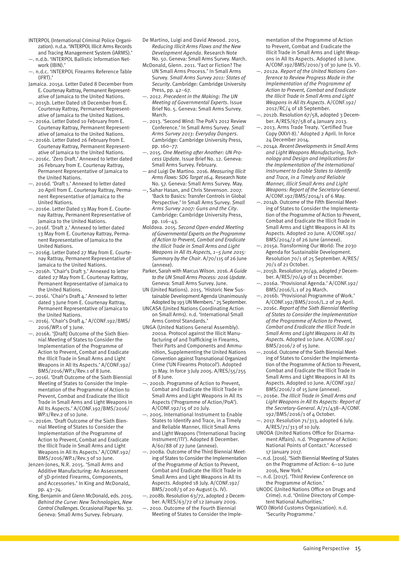- INTERPOL (International Criminal Police Organization). n.d.a. ['INTERPOL Illicit Arms Records](https://www.interpol.int/Crime-areas/Firearms/INTERPOL-Illicit-Arms-Records-and-tracing-Management-System-iARMS)  [and Tracing Management System \(iARMS\).'](https://www.interpol.int/Crime-areas/Firearms/INTERPOL-Illicit-Arms-Records-and-tracing-Management-System-iARMS)
- —. n.d.b. ['INTERPOL Ballistic Information Net](https://www.interpol.int/Crime-areas/Firearms/INTERPOL-Ballistic-Information-Network-IBIN)[work \(IBIN\).'](https://www.interpol.int/Crime-areas/Firearms/INTERPOL-Ballistic-Information-Network-IBIN)
- —. n.d.c. ['INTERPOL Firearms Reference Table](https://www.interpol.int/Crime-areas/Firearms/INTERPOL-Firearms-Reference-Table-IFRT)  [\(IFRT\).'](https://www.interpol.int/Crime-areas/Firearms/INTERPOL-Firearms-Reference-Table-IFRT)
- Jamaica. 2015a. [Letter Dated 8 December from](https://www.un.org/disarmament/bms6/) [E. Courtenay Rattray, Permanent Represent](https://www.un.org/disarmament/bms6/)[ative of Jamaica to the United Nations.](https://www.un.org/disarmament/bms6/)
- —. 2015b. [Letter Dated 18 December from E.](https://www.un.org/disarmament/bms6/)  [Courtenay Rattray, Permanent Represent](https://www.un.org/disarmament/bms6/)[ative of Jamaica to the United Nations.](https://www.un.org/disarmament/bms6/)
- —. 2016a. [Letter Dated 10 February from E.](https://www.un.org/disarmament/bms6/)  [Courtenay Rattray, Permanent Represent](https://www.un.org/disarmament/bms6/)[ative of Jamaica to the United Nations.](https://www.un.org/disarmament/bms6/)
- —. 2016b. [Letter Dated 26 February from E.](https://www.un.org/disarmament/bms6/)  [Courtenay Rattray, Permanent Represent](https://www.un.org/disarmament/bms6/)[ative of Jamaica to the United Nations.](https://www.un.org/disarmament/bms6/)
- —. 2016c. ['Zero Draft.'](https://www.un.org/disarmament/bms6/) Annexed to letter dated 26 February from E. Courtenay Rattray, Permanent Representative of Jamaica to the United Nations.
- —. 2016d. ['Draft 1.'](https://www.un.org/disarmament/bms6/) Annexed to letter dated 20 April from E. Courtenay Rattray, Permanent Representative of Jamaica to the United Nations.
- —. 2016e. [Letter Dated 13 May from E. Courte](https://www.un.org/disarmament/bms6/)[nay Rattray, Permanent Representative of](https://www.un.org/disarmament/bms6/)  [Jamaica to the United Nations.](https://www.un.org/disarmament/bms6/)
- —. 2016f. ['Draft 2.' A](https://www.un.org/disarmament/bms6/)nnexed to letter dated 13 May from E. Courtenay Rattray, Permanent Representative of Jamaica to the United Nations.
- —. 2016g. [Letter Dated 27 May from E. Courte](https://www.un.org/disarmament/bms6/)[nay Rattray, Permanent Representative of](https://www.un.org/disarmament/bms6/)  [Jamaica to the United Nations.](https://www.un.org/disarmament/bms6/)
- —. 2016h. ['Chair's Draft 3.'](https://www.un.org/disarmament/bms6/) Annexed to letter dated 27 May from E. Courtenay Rattray, Permanent Representative of Jamaica to the United Nations.
- —. 2016i. ['Chair's Draft 4.' A](https://www.un.org/disarmament/bms6/)nnexed to letter dated 3 June from E. Courtenay Rattray, Permanent Representative of Jamaica to the United Nations.
- —. 2016j. ['Chair's Draft 4.' A](http://www.un.org/Docs/journal/asp/ws.asp?m=A/CONF.192/BMS/2016/WP.1)/CONF.192/BMS/ 2016/WP.1 of 3 June.
- —. 2016k. '[Draft] Outcome of the Sixth Biennial Meeting of States to Consider the Implementation of the Programme of Action to Prevent, Combat and Eradicate the Illicit Trade in Small Arms and Light Weapons in All Its Aspects.' A/CONF.192/ BMS/2016/WP.1/Rev.1 of 8 June.
- —. 2016l. 'Draft Outcome of the Sixth Biennial Meeting of States to Consider the Implementation of the Programme of Action to Prevent, Combat and Eradicate the Illicit Trade in Small Arms and Light Weapons in All Its Aspects.' A/CONF.192/BMS/2016/ WP.1/Rev.2 of 10 June.
- —. 2016m. 'Draft Outcome of the Sixth Biennial Meeting of States to Consider the Implementation of the Programme of Action to Prevent, Combat and Eradicate the Illicit Trade in Small Arms and Light Weapons in All Its Aspects.' A/CONF.192/ BMS/2016/WP.1/Rev.3 of 10 June.
- Jenzen-Jones, N.R. 2015. 'Small Arms and Additive Manufacturing: An Assessment of 3D-printed Firearms, Components, and Accessories.' In King and McDonald, pp. 43–74.
- King, Benjamin and Glenn McDonald, eds. 2015. *[Behind the Curve: New Technologies, New](http://www.smallarmssurvey.org/fileadmin/docs/B-Occasional-papers/SAS-OP32-Behind-the-Curve.pdf)  [Control Challenges](http://www.smallarmssurvey.org/fileadmin/docs/B-Occasional-papers/SAS-OP32-Behind-the-Curve.pdf)*. Occasional Paper No. 32. Geneva: Small Arms Survey. February.
- De Martino, Luigi and David Atwood. 2015. *[Reducing Illicit Arms Flows and the New](http://www.smallarmssurvey.org/fileadmin/docs/H-Research_Notes/SAS-Research-Note-50.pdf)  [Development Agenda](http://www.smallarmssurvey.org/fileadmin/docs/H-Research_Notes/SAS-Research-Note-50.pdf)*. Research Note No. 50. Geneva: Small Arms Survey. March.
- McDonald, Glenn. 2011. 'Fact or Fiction? The UN Small Arms Process.' In Small Arms Survey. *Small Arms Survey 2011: States of Security*. Cambridge: Cambridge University Press, pp. 42–67.
- —. 2012. *[Precedent in the Making: The UN](http://www.smallarmssurvey.org/fileadmin/docs/G-Issue-briefs/SAS-IB5-Precedent-in-the-making.pdf)  [Meeting of Governmental Experts](http://www.smallarmssurvey.org/fileadmin/docs/G-Issue-briefs/SAS-IB5-Precedent-in-the-making.pdf)*. Issue Brief No. 5. Geneva: Small Arms Survey. March.
- —. 2013. 'Second Wind: The PoA's 2012 Review Conference.' In Small Arms Survey. *Small Arms Survey 2013: Everyday Dangers*. Cambridge: Cambridge University Press, pp. 160–77.
- —. 2015. *[One Meeting after Another: UN Pro](http://www.smallarmssurvey.org/fileadmin/docs/G-Issue-briefs/SAS-IB12-UN-Process-Update.pdf)[cess Update](http://www.smallarmssurvey.org/fileadmin/docs/G-Issue-briefs/SAS-IB12-UN-Process-Update.pdf)*. Issue Brief No. 12. Geneva: Small Arms Survey. February.
- and Luigi De Martino. 2016. *Measuring Illicit Arms Flows: SDG Target 16.4*. Research Note No. 57. Geneva: Small Arms Survey. May.
- —, Sahar Hasan, and Chris Stevenson. 2007. 'Back to Basics: Transfer Controls in Global Perspective.' In Small Arms Survey. *Small Arms Survey 2007: Guns and the City*. Cambridge: Cambridge University Press, pp. 116–43.
- Moldova. 2015. *[Second Open-ended Meeting](http://undocs.org/A/70/115)  [of Governmental Experts on the Programme](http://undocs.org/A/70/115)  [of Action to Prevent, Combat and Eradicate](http://undocs.org/A/70/115)  [the Illicit Trade in Small Arms and Light](http://undocs.org/A/70/115)  [Weapons in All Its Aspects, 1–5 June 2015:](http://undocs.org/A/70/115)  [Summary by the Chair](http://undocs.org/A/70/115)*. A/70/115 of 26 June (annexe).
- Parker, Sarah with Marcus Wilson. 2016. *[A Guide](http://www.smallarmssurvey.org/publications/by-type/handbooks/a-diplomats-guide-to-the-un-small-arms-process.html)  [to the UN Small Arms Process: 2016 Update](http://www.smallarmssurvey.org/publications/by-type/handbooks/a-diplomats-guide-to-the-un-small-arms-process.html)*. Geneva: Small Arms Survey. June.
- UN (United Nations). 2015. ['Historic New Sus](http://www.un.org/sustainabledevelopment/blog/2015/09/historic-new-sustainable-development-agenda-unanimously-adopted-by-193-un-members/)[tainable Development Agenda Unanimously](http://www.un.org/sustainabledevelopment/blog/2015/09/historic-new-sustainable-development-agenda-unanimously-adopted-by-193-un-members/)  [Adopted by 193 UN Members.' 2](http://www.un.org/sustainabledevelopment/blog/2015/09/historic-new-sustainable-development-agenda-unanimously-adopted-by-193-un-members/)5 September.
- UNCASA (United Nations Coordinating Action on Small Arms). n.d. ['International Small](http://www.smallarmsstandards.org/isacs/)  [Arms Control Standards.'](http://www.smallarmsstandards.org/isacs/)
- UNGA (United Nations General Assembly). 2001a. [Protocol against the Illicit Manu](http://www.unodc.org/pdf/crime/a_res_55/255e.pdf)[facturing of and Trafficking in Firearms,](http://www.unodc.org/pdf/crime/a_res_55/255e.pdf)  [Their Parts and Components and Ammu](http://www.unodc.org/pdf/crime/a_res_55/255e.pdf)[nition, Supplementing the United Nations](http://www.unodc.org/pdf/crime/a_res_55/255e.pdf)  [Convention against Transnational Organized](http://www.unodc.org/pdf/crime/a_res_55/255e.pdf)  [Crime \('UN Firearms Protocol'\). A](http://www.unodc.org/pdf/crime/a_res_55/255e.pdf)dopted 31 May. In force 3 July 2005. A/RES/55/255 of 8 June.
- —. 2001b. [Programme of Action to Prevent,](http://www.poa-iss.org/PoA/PoA.aspx)  [Combat and Eradicate the Illicit Trade in](http://www.poa-iss.org/PoA/PoA.aspx)  [Small Arms and Light Weapons in All Its](http://www.poa-iss.org/PoA/PoA.aspx)  [Aspects \('Programme of Action/PoA'\).](http://www.poa-iss.org/PoA/PoA.aspx)  A/CONF.192/15 of 20 July.
- —. 2005. [International Instrument to Enable](http://www.poa-iss.org/InternationalTracing/InternationalTracing.aspx)  [States to Identify and Trace, in a Timely](http://www.poa-iss.org/InternationalTracing/InternationalTracing.aspx)  [and Reliable Manner, Illicit Small Arms](http://www.poa-iss.org/InternationalTracing/InternationalTracing.aspx)  [and Light Weapons \('International Tracing](http://www.poa-iss.org/InternationalTracing/InternationalTracing.aspx)  [Instrument/ITI'\). A](http://www.poa-iss.org/InternationalTracing/InternationalTracing.aspx)dopted 8 December. A/60/88 of 27 June (annexe).
- —. 2008a. O[utcome of the Third Biennial Meet](http://www.poa-iss.org/DocsUpcomingEvents/ENN0846796.pdf)[ing of States to Consider the Implementation](http://www.poa-iss.org/DocsUpcomingEvents/ENN0846796.pdf)  [of the Programme of Action to Prevent,](http://www.poa-iss.org/DocsUpcomingEvents/ENN0846796.pdf)  [Combat and Eradicate the Illicit Trade in](http://www.poa-iss.org/DocsUpcomingEvents/ENN0846796.pdf)  [Small Arms and Light Weapons in All Its](http://www.poa-iss.org/DocsUpcomingEvents/ENN0846796.pdf)  [Aspects. A](http://www.poa-iss.org/DocsUpcomingEvents/ENN0846796.pdf)dopted 18 July. A/CONF.192/ BMS/2008/3 of 20 August (s. IV).
- —. 2008b. [Resolution 63/72, adopted 2 Decem](http://www.un.org/ga/search/view_doc.asp?symbol=A/RES/63/72&Lang=E)[ber.](http://www.un.org/ga/search/view_doc.asp?symbol=A/RES/63/72&Lang=E) A/RES/63/72 of 12 January 2009.
- —. 2010. [Outcome of the Fourth Biennial](http://www.poa-iss.org/BMS4/Outcome/BMS4-Outcome-E.pdf)  [Meeting of States to Consider the Imple-](http://www.poa-iss.org/BMS4/Outcome/BMS4-Outcome-E.pdf)

[mentation of the Programme of Action](http://www.poa-iss.org/BMS4/Outcome/BMS4-Outcome-E.pdf)  [to Prevent, Combat and Eradicate the](http://www.poa-iss.org/BMS4/Outcome/BMS4-Outcome-E.pdf)  [Illicit Trade in Small Arms and Light Weap](http://www.poa-iss.org/BMS4/Outcome/BMS4-Outcome-E.pdf)[ons in All Its Aspects.](http://www.poa-iss.org/BMS4/Outcome/BMS4-Outcome-E.pdf) Adopted 18 June. A/CONF.192/BMS/2010/3 of 30 June (s. V).

- —. 2012a. *[Report of the United Nations Con](http://www.poa-iss.org/RevCon2/Documents/RevCon-DOC/Outcome/PoA-RevCon2-Outcome-E.pdf)[ference to Review Progress Made in the](http://www.poa-iss.org/RevCon2/Documents/RevCon-DOC/Outcome/PoA-RevCon2-Outcome-E.pdf)  [Implementation of the Programme of](http://www.poa-iss.org/RevCon2/Documents/RevCon-DOC/Outcome/PoA-RevCon2-Outcome-E.pdf)  [Action to Prevent, Combat and Eradicate](http://www.poa-iss.org/RevCon2/Documents/RevCon-DOC/Outcome/PoA-RevCon2-Outcome-E.pdf)  [the Illicit Trade in Small Arms and Light](http://www.poa-iss.org/RevCon2/Documents/RevCon-DOC/Outcome/PoA-RevCon2-Outcome-E.pdf)  [Weapons in All Its Aspects](http://www.poa-iss.org/RevCon2/Documents/RevCon-DOC/Outcome/PoA-RevCon2-Outcome-E.pdf)*. A/CONF.192/ 2012/RC/4 of 18 September.
- —. 2012b[. Resolution 67/58, adopted 3 Decem](http://www.un.org/en/ga/search/view_doc.asp?symbol=A/RES/67/58)[ber. A](http://www.un.org/en/ga/search/view_doc.asp?symbol=A/RES/67/58)/RES/67/58 of 4 January 2013.
- —. 2013. Arms Trade Treaty. ['Certified True](https://treaties.un.org/Pages/ViewDetails.aspx?src=IND&mtdsg_no=XXVI-8&chapter=26&clang=_en)  [Copy \(XXVI-8\).'](https://treaties.un.org/Pages/ViewDetails.aspx?src=IND&mtdsg_no=XXVI-8&chapter=26&clang=_en) Adopted 2 April. In force 24 December 2014.
- —. 2014a. *[Recent Developments in Small Arms](http://www.un-arm.org/BMS5/)  [and Light Weapons Manufacturing, Tech](http://www.un-arm.org/BMS5/)[nology and Design and Implications for](http://www.un-arm.org/BMS5/)  [the Implementation of the International](http://www.un-arm.org/BMS5/)  [Instrument to Enable States to Identify](http://www.un-arm.org/BMS5/)  [and Trace, in a Timely and Reliable](http://www.un-arm.org/BMS5/)  [Manner, Illicit Small Arms and Light](http://www.un-arm.org/BMS5/)  [Weapons: Report of the Secretary-General](http://www.un-arm.org/BMS5/)*. A/CONF.192/BMS/2014/1 of 6 May.
- 2014b. [Outcome of the Fifth Biennial Meet](http://www.un-arm.org/BMS5/)[ing of States to Consider the Implementa](http://www.un-arm.org/BMS5/)[tion of the Programme of Action to Prevent,](http://www.un-arm.org/BMS5/)  [Combat and Eradicate the Illicit Trade in](http://www.un-arm.org/BMS5/)  [Small Arms and Light Weapons in All Its](http://www.un-arm.org/BMS5/)  [Aspects. A](http://www.un-arm.org/BMS5/)dopted 20 June. A/CONF.192/ BMS/2014/2 of 26 June (annexe).
- —. 2015a. [Transforming Our World: The 2030](http://www.un.org/ga/search/view_doc.asp?symbol=A/RES/70/1&Lang=E)  [Agenda for Sustainable Development.](http://www.un.org/ga/search/view_doc.asp?symbol=A/RES/70/1&Lang=E)  Resolution 70/1 of 25 September. A/RES/ 70/1 of 21 October.
- —. 2015b. [Resolution 70/49, adopted 7 Decem](http://www.un.org/en/ga/search/view_doc.asp?symbol=A/RES/70/49)[ber. A](http://www.un.org/en/ga/search/view_doc.asp?symbol=A/RES/70/49)/RES/70/49 of 11 December.
- —. 2016a. ['Provisional Agenda.' A](https://www.un.org/disarmament/bms6/)/CONF.192/ BMS/2016/L.1 of 29 March.
- —. 2016b. ['Provisional Programme of Work.'](https://www.un.org/disarmament/bms6/)  A/CONF.192/BMS/2016/L.2 of 29 April.
- —. 2016c. *[Report of the Sixth Biennial Meeting](https://www.un.org/disarmament/bms6/)  [of States to Consider the Implementation](https://www.un.org/disarmament/bms6/)  [of the Programme of Action to Prevent,](https://www.un.org/disarmament/bms6/)  [Combat and Eradicate the Illicit Trade in](https://www.un.org/disarmament/bms6/)  [Small Arms and Light Weapons in All Its](https://www.un.org/disarmament/bms6/)  [Aspects.](https://www.un.org/disarmament/bms6/)* Adopted 10 June. A/CONF.192/ BMS/2016/2 of 15 June.
- —. 2016d. [Outcome of the Sixth Biennial Meet](https://www.un.org/disarmament/bms6/)[ing of States to Consider the Implementa](https://www.un.org/disarmament/bms6/)[tion of the Programme of Action to Prevent,](https://www.un.org/disarmament/bms6/)  [Combat and Eradicate the Illicit Trade in](https://www.un.org/disarmament/bms6/)  [Small Arms and Light Weapons in All Its](https://www.un.org/disarmament/bms6/)  [Aspects. A](https://www.un.org/disarmament/bms6/)dopted 10 June. A/CONF.192/ BMS/2016/2 of 15 June (annexe).
- —. 2016e. *[The Illicit Trade in Small Arms and](https://www.un.org/disarmament/bms6/)  [Light Weapons in All Its Aspects: Report of](https://www.un.org/disarmament/bms6/)  [the Secretary-General](https://www.un.org/disarmament/bms6/)*. A/71/438–A/CONF. 192/BMS/2016/1 of 4 October.
- —. 2017. [Resolution 71/313, adopted 6 July.](http://www.un.org/en/development/desa/population/migration/generalassembly/docs/globalcompact/A_RES_71_313.pdf)  A/RES/71/313 of 10 July.
- UNODA (United Nations Office for Disarmament Affairs). n.d. ['Programme of Action:](http://www.poa-iss.org/Poa/NationalContacts.aspx)  [National Points of Contact.' A](http://www.poa-iss.org/Poa/NationalContacts.aspx)ccessed 17 January 2017.
- —. n.d. [2016]. ['Sixth Biennial Meeting of States](https://www.un.org/disarmament/bms6/)  [on the Programme of Action: 6–10 June](https://www.un.org/disarmament/bms6/)  [2016, New York.'](https://www.un.org/disarmament/bms6/)
- —. n.d. [2017]. ['Third Review Conference on](https://www.un.org/disarmament/convarms/revcon3/)  [the Programme of Action.'](https://www.un.org/disarmament/convarms/revcon3/)
- UNODC (United Nations Office on Drugs and Crime). n.d. ['Online Directory of Compe](https://www.unodc.org/cld/en/v3/sherloc/cnadir.html)[tent National Authorities.'](https://www.unodc.org/cld/en/v3/sherloc/cnadir.html)
- WCO (World Customs Organization). n.d. ['Security Programme.'](http://www.wcoomd.org/en/topics/enforcement-and-compliance/activities-and-programmes/security-programme.aspx)